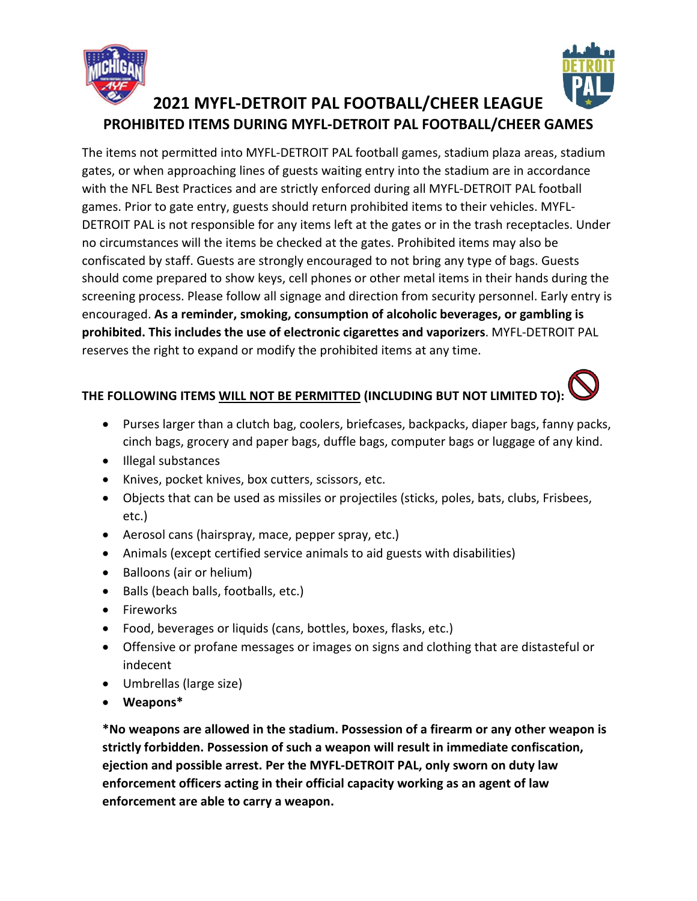



The items not permitted into MYFL-DETROIT PAL football games, stadium plaza areas, stadium gates, or when approaching lines of guests waiting entry into the stadium are in accordance with the NFL Best Practices and are strictly enforced during all MYFL-DETROIT PAL football games. Prior to gate entry, guests should return prohibited items to their vehicles. MYFL-DETROIT PAL is not responsible for any items left at the gates or in the trash receptacles. Under no circumstances will the items be checked at the gates. Prohibited items may also be confiscated by staff. Guests are strongly encouraged to not bring any type of bags. Guests should come prepared to show keys, cell phones or other metal items in their hands during the screening process. Please follow all signage and direction from security personnel. Early entry is encouraged. **As a reminder, smoking, consumption of alcoholic beverages, or gambling is prohibited. This includes the use of electronic cigarettes and vaporizers**. MYFL-DETROIT PAL reserves the right to expand or modify the prohibited items at any time.

## **THE FOLLOWING ITEMS WILL NOT BE PERMITTED (INCLUDING BUT NOT LIMITED TO):**

- Purses larger than a clutch bag, coolers, briefcases, backpacks, diaper bags, fanny packs, cinch bags, grocery and paper bags, duffle bags, computer bags or luggage of any kind.
- Illegal substances
- Knives, pocket knives, box cutters, scissors, etc.
- Objects that can be used as missiles or projectiles (sticks, poles, bats, clubs, Frisbees, etc.)
- Aerosol cans (hairspray, mace, pepper spray, etc.)
- Animals (except certified service animals to aid guests with disabilities)
- Balloons (air or helium)
- Balls (beach balls, footballs, etc.)
- Fireworks
- Food, beverages or liquids (cans, bottles, boxes, flasks, etc.)
- Offensive or profane messages or images on signs and clothing that are distasteful or indecent
- Umbrellas (large size)
- **Weapons\***

**\*No weapons are allowed in the stadium. Possession of a firearm or any other weapon is strictly forbidden. Possession of such a weapon will result in immediate confiscation, ejection and possible arrest. Per the MYFL-DETROIT PAL, only sworn on duty law enforcement officers acting in their official capacity working as an agent of law enforcement are able to carry a weapon.**